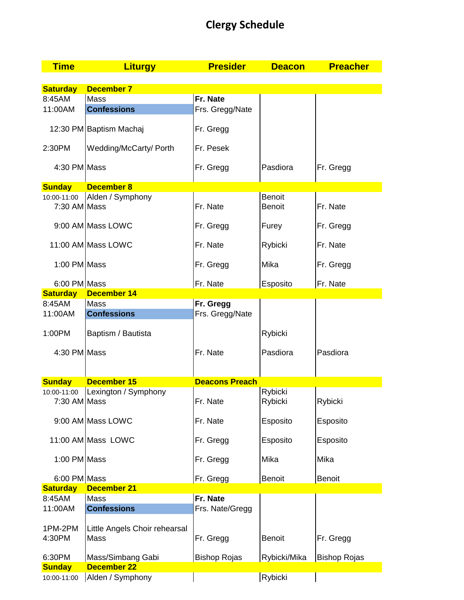## **Clergy Schedule**

| <b>Time</b>                 | <b>Liturgy</b>                | <b>Presider</b>       | <b>Deacon</b>      | <b>Preacher</b>     |
|-----------------------------|-------------------------------|-----------------------|--------------------|---------------------|
|                             |                               |                       |                    |                     |
| <b>Saturday</b>             | <b>December 7</b>             |                       |                    |                     |
| 8:45AM                      | <b>Mass</b>                   | Fr. Nate              |                    |                     |
| 11:00AM                     | <b>Confessions</b>            | Frs. Gregg/Nate       |                    |                     |
|                             | 12:30 PM Baptism Machaj       | Fr. Gregg             |                    |                     |
| 2:30PM                      | Wedding/McCarty/ Porth        | Fr. Pesek             |                    |                     |
| 4:30 PM Mass                |                               | Fr. Gregg             | Pasdiora           | Fr. Gregg           |
| <b>Sunday</b>               | <b>December 8</b>             |                       |                    |                     |
| 10:00-11:00                 | Alden / Symphony              |                       | <b>Benoit</b>      |                     |
| 7:30 AM Mass                |                               | Fr. Nate              | <b>Benoit</b>      | Fr. Nate            |
|                             | 9:00 AM Mass LOWC             | Fr. Gregg             | Furey              | Fr. Gregg           |
|                             | 11:00 AM Mass LOWC            | Fr. Nate              | Rybicki            | Fr. Nate            |
| 1:00 PM Mass                |                               | Fr. Gregg             | Mika               | Fr. Gregg           |
| 6:00 PM Mass                |                               | Fr. Nate              | Esposito           | Fr. Nate            |
| <b>Saturday</b>             | <b>December 14</b>            |                       |                    |                     |
| 8:45AM                      | <b>Mass</b>                   | Fr. Gregg             |                    |                     |
| 11:00AM                     | <b>Confessions</b>            | Frs. Gregg/Nate       |                    |                     |
| 1:00PM                      | Baptism / Bautista            |                       | Rybicki            |                     |
| 4:30 PM Mass                |                               | Fr. Nate              | Pasdiora           | Pasdiora            |
|                             |                               |                       |                    |                     |
| <b>Sunday</b>               | <b>December 15</b>            | <b>Deacons Preach</b> |                    |                     |
| 10:00-11:00<br>7:30 AM Mass | Lexington / Symphony          | Fr. Nate              | Rybicki<br>Rybicki | Rybicki             |
|                             | 9:00 AM Mass LOWC             | Fr. Nate              | Esposito           | Esposito            |
|                             | 11:00 AM Mass LOWC            | Fr. Gregg             | Esposito           | Esposito            |
| 1:00 PM Mass                |                               | Fr. Gregg             | Mika               | Mika                |
| 6:00 PM Mass                |                               | Fr. Gregg             | <b>Benoit</b>      | <b>Benoit</b>       |
| <b>Saturday</b>             | <b>December 21</b>            |                       |                    |                     |
| 8:45AM                      | Mass                          | Fr. Nate              |                    |                     |
| 11:00AM                     | <b>Confessions</b>            | Frs. Nate/Gregg       |                    |                     |
|                             |                               |                       |                    |                     |
| 1PM-2PM                     | Little Angels Choir rehearsal |                       |                    |                     |
| 4:30PM                      | Mass                          | Fr. Gregg             | Benoit             | Fr. Gregg           |
| 6:30PM                      | Mass/Simbang Gabi             | <b>Bishop Rojas</b>   | Rybicki/Mika       | <b>Bishop Rojas</b> |
| <b>Sunday</b>               | <b>December 22</b>            |                       |                    |                     |
| 10:00-11:00                 | Alden / Symphony              |                       | Rybicki            |                     |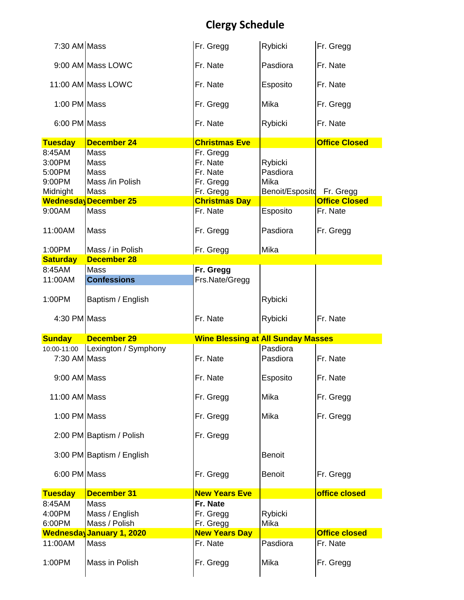## **Clergy Schedule**

| 7:30 AM Mass                                     |                                                                                                      | Fr. Gregg                                                                           | Rybicki                                        | Fr. Gregg                         |
|--------------------------------------------------|------------------------------------------------------------------------------------------------------|-------------------------------------------------------------------------------------|------------------------------------------------|-----------------------------------|
|                                                  | 9:00 AM Mass LOWC                                                                                    | Fr. Nate                                                                            | Pasdiora                                       | Fr. Nate                          |
|                                                  | 11:00 AM Mass LOWC                                                                                   | Fr. Nate                                                                            | Esposito                                       | Fr. Nate                          |
| 1:00 PM Mass                                     |                                                                                                      | Fr. Gregg                                                                           | Mika                                           | Fr. Gregg                         |
| 6:00 PM Mass                                     |                                                                                                      | Fr. Nate                                                                            | Rybicki                                        | Fr. Nate                          |
| <b>Tuesday</b>                                   | <b>December 24</b>                                                                                   | <b>Christmas Eve</b>                                                                |                                                | <b>Office Closed</b>              |
| 8:45AM<br>3:00PM<br>5:00PM<br>9:00PM<br>Midnight | <b>Mass</b><br>Mass<br><b>Mass</b><br>Mass /in Polish<br><b>Mass</b><br><b>Wednesday December 25</b> | Fr. Gregg<br>Fr. Nate<br>Fr. Nate<br>Fr. Gregg<br>Fr. Gregg<br><b>Christmas Day</b> | Rybicki<br>Pasdiora<br>Mika<br>Benoit/Esposito | Fr. Gregg<br><b>Office Closed</b> |
| 9:00AM                                           | <b>Mass</b>                                                                                          | Fr. Nate                                                                            | Esposito                                       | Fr. Nate                          |
| 11:00AM                                          | <b>Mass</b>                                                                                          | Fr. Gregg                                                                           | Pasdiora                                       | Fr. Gregg                         |
| 1:00PM                                           | Mass / in Polish                                                                                     | Fr. Gregg                                                                           | Mika                                           |                                   |
| <b>Saturday</b>                                  | <b>December 28</b>                                                                                   |                                                                                     |                                                |                                   |
| 8:45AM<br>11:00AM                                | <b>Mass</b><br><b>Confessions</b>                                                                    | Fr. Gregg<br>Frs.Nate/Gregg                                                         |                                                |                                   |
| 1:00PM                                           | Baptism / English                                                                                    |                                                                                     | Rybicki                                        |                                   |
|                                                  |                                                                                                      |                                                                                     |                                                |                                   |
| 4:30 PM Mass                                     |                                                                                                      | Fr. Nate                                                                            | Rybicki                                        | Fr. Nate                          |
| <b>Sunday</b>                                    | <b>December 29</b>                                                                                   | <b>Wine Blessing at All Sunday Masses</b>                                           |                                                |                                   |
|                                                  | 10:00-11:00   Lexington / Symphony                                                                   |                                                                                     | Pasdiora                                       |                                   |
| 7:30 AM Mass                                     |                                                                                                      | Fr. Nate                                                                            | Pasdiora                                       | Fr. Nate                          |
| 9:00 AM Mass                                     |                                                                                                      | Fr. Nate                                                                            | Esposito                                       | Fr. Nate                          |
| 11:00 AM Mass                                    |                                                                                                      | Fr. Gregg                                                                           | Mika                                           | Fr. Gregg                         |
| 1:00 PM Mass                                     |                                                                                                      | Fr. Gregg                                                                           | Mika                                           | Fr. Gregg                         |
|                                                  | 2:00 PM Baptism / Polish                                                                             | Fr. Gregg                                                                           |                                                |                                   |
|                                                  | 3:00 PM Baptism / English                                                                            |                                                                                     | <b>Benoit</b>                                  |                                   |
| 6:00 PM Mass                                     |                                                                                                      | Fr. Gregg                                                                           | <b>Benoit</b>                                  | Fr. Gregg                         |
| <b>Tuesday</b>                                   | <b>December 31</b>                                                                                   | <b>New Years Eve</b>                                                                |                                                | office closed                     |
| 8:45AM<br>4:00PM<br>6:00PM                       | Mass<br>Mass / English<br>Mass / Polish                                                              | Fr. Nate<br>Fr. Gregg<br>Fr. Gregg                                                  | Rybicki<br>Mika                                |                                   |
|                                                  | <b>WednesdayJanuary 1, 2020</b>                                                                      | <b>New Years Day</b>                                                                |                                                | <b>Office closed</b>              |
| 11:00AM<br>1:00PM                                | Mass<br>Mass in Polish                                                                               | Fr. Nate<br>Fr. Gregg                                                               | Pasdiora<br>Mika                               | Fr. Nate<br>Fr. Gregg             |